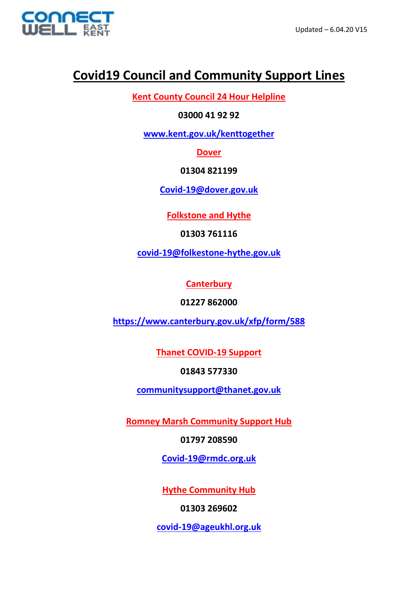

## **Covid19 Council and Community Support Lines**

**Kent County Council 24 Hour Helpline** 

**03000 41 92 92**

**[www.kent.gov.uk/kenttogether](http://www.kent.gov.uk/kenttogether)**

**Dover**

**01304 821199**

**[Covid-19@dover.gov.uk](mailto:Covid-19@dover.gov.uk)**

**Folkstone and Hythe** 

**01303 761116** 

**[covid-19@folkestone-hythe.gov.uk](mailto:covid-19@folkestone-hythe.gov.uk)**

**Canterbury**

**01227 862000**

**<https://www.canterbury.gov.uk/xfp/form/588>**

**Thanet COVID-19 Support** 

**01843 577330** 

**[communitysupport@thanet.gov.uk](mailto:communitysupport@thanet.gov.uk)**

**Romney Marsh Community Support Hub**

**01797 208590**

**[Covid-19@rmdc.org.uk](mailto:Covid-19@rmdc.org.uk)**

**Hythe Community Hub** 

**01303 269602**

**[covid-19@ageukhl.org.uk](mailto:covid-19@ageukhl.org.uk)**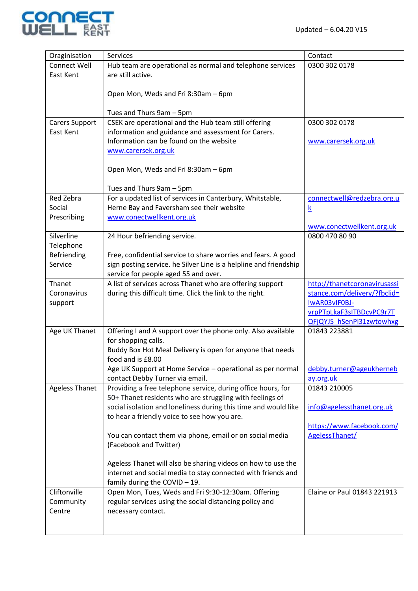

| Oraginisation            | Services                                                          | Contact                                     |
|--------------------------|-------------------------------------------------------------------|---------------------------------------------|
| <b>Connect Well</b>      | Hub team are operational as normal and telephone services         | 0300 302 0178                               |
| East Kent                | are still active.                                                 |                                             |
|                          |                                                                   |                                             |
|                          | Open Mon, Weds and Fri 8:30am - 6pm                               |                                             |
|                          |                                                                   |                                             |
|                          | Tues and Thurs 9am - 5pm                                          |                                             |
| <b>Carers Support</b>    | CSEK are operational and the Hub team still offering              | 0300 302 0178                               |
| East Kent                | information and guidance and assessment for Carers.               |                                             |
|                          | Information can be found on the website                           | www.carersek.org.uk                         |
|                          | www.carersek.org.uk                                               |                                             |
|                          |                                                                   |                                             |
|                          |                                                                   |                                             |
|                          | Open Mon, Weds and Fri 8:30am - 6pm                               |                                             |
|                          | Tues and Thurs 9am - 5pm                                          |                                             |
| Red Zebra                | For a updated list of services in Canterbury, Whitstable,         | connectwell@redzebra.org.u                  |
| Social                   | Herne Bay and Faversham see their website                         |                                             |
| Prescribing              | www.conectwellkent.org.uk                                         | $\underline{k}$                             |
|                          |                                                                   |                                             |
| Silverline               | 24 Hour befriending service.                                      | www.conectwellkent.org.uk<br>0800 470 80 90 |
|                          |                                                                   |                                             |
| Telephone<br>Befriending |                                                                   |                                             |
| Service                  | Free, confidential service to share worries and fears. A good     |                                             |
|                          | sign posting service. he Silver Line is a helpline and friendship |                                             |
| Thanet                   | service for people aged 55 and over.                              |                                             |
|                          | A list of services across Thanet who are offering support         | http://thanetcoronavirusassi                |
| Coronavirus              | during this difficult time. Click the link to the right.          | stance.com/delivery/?fbclid=                |
| support                  |                                                                   | IWAR03vIF0BJ-                               |
|                          |                                                                   | vrpPTpLkaF3sITBDcvPC9r7T                    |
|                          |                                                                   | <b>QFjQYJS hSenPl31zwtowhxg</b>             |
| Age UK Thanet            | Offering I and A support over the phone only. Also available      | 01843 223881                                |
|                          | for shopping calls.                                               |                                             |
|                          | Buddy Box Hot Meal Delivery is open for anyone that needs         |                                             |
|                          | food and is £8.00                                                 |                                             |
|                          | Age UK Support at Home Service - operational as per normal        | debby.turner@ageukherneb                    |
|                          | contact Debby Turner via email.                                   | ay.org.uk                                   |
| <b>Ageless Thanet</b>    | Providing a free telephone service, during office hours, for      | 01843 210005                                |
|                          | 50+ Thanet residents who are struggling with feelings of          |                                             |
|                          | social isolation and loneliness during this time and would like   | info@agelessthanet.org.uk                   |
|                          | to hear a friendly voice to see how you are.                      |                                             |
|                          |                                                                   | https://www.facebook.com/                   |
|                          | You can contact them via phone, email or on social media          | AgelessThanet/                              |
|                          | (Facebook and Twitter)                                            |                                             |
|                          |                                                                   |                                             |
|                          | Ageless Thanet will also be sharing videos on how to use the      |                                             |
|                          | internet and social media to stay connected with friends and      |                                             |
| Cliftonville             | family during the COVID - 19.                                     | Elaine or Paul 01843 221913                 |
|                          | Open Mon, Tues, Weds and Fri 9:30-12:30am. Offering               |                                             |
| Community                | regular services using the social distancing policy and           |                                             |
| Centre                   | necessary contact.                                                |                                             |
|                          |                                                                   |                                             |
|                          |                                                                   |                                             |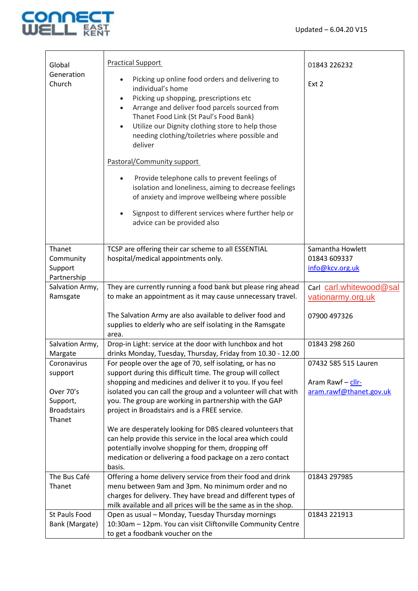

| Global                       | <b>Practical Support</b>                                                                                                                                                                                                                                                                                                                             | 01843 226232            |
|------------------------------|------------------------------------------------------------------------------------------------------------------------------------------------------------------------------------------------------------------------------------------------------------------------------------------------------------------------------------------------------|-------------------------|
| Generation<br>Church         | Picking up online food orders and delivering to<br>individual's home<br>Picking up shopping, prescriptions etc<br>Arrange and deliver food parcels sourced from<br>$\bullet$<br>Thanet Food Link (St Paul's Food Bank)<br>Utilize our Dignity clothing store to help those<br>$\bullet$<br>needing clothing/toiletries where possible and<br>deliver | Ext 2                   |
|                              | Pastoral/Community support                                                                                                                                                                                                                                                                                                                           |                         |
|                              | Provide telephone calls to prevent feelings of<br>isolation and loneliness, aiming to decrease feelings<br>of anxiety and improve wellbeing where possible<br>Signpost to different services where further help or                                                                                                                                   |                         |
|                              | advice can be provided also                                                                                                                                                                                                                                                                                                                          |                         |
| Thanet                       | TCSP are offering their car scheme to all ESSENTIAL                                                                                                                                                                                                                                                                                                  | Samantha Howlett        |
| Community                    | hospital/medical appointments only.                                                                                                                                                                                                                                                                                                                  | 01843 609337            |
| Support                      |                                                                                                                                                                                                                                                                                                                                                      | info@kcv.org.uk         |
| Partnership                  |                                                                                                                                                                                                                                                                                                                                                      |                         |
| Salvation Army,              | They are currently running a food bank but please ring ahead                                                                                                                                                                                                                                                                                         | Carl carl.whitewood@sal |
| Ramsgate                     | to make an appointment as it may cause unnecessary travel.                                                                                                                                                                                                                                                                                           | vationarmy.org.uk       |
|                              | The Salvation Army are also available to deliver food and<br>supplies to elderly who are self isolating in the Ramsgate<br>area.                                                                                                                                                                                                                     | 07900 497326            |
| Salvation Army,              | Drop-in Light: service at the door with lunchbox and hot                                                                                                                                                                                                                                                                                             | 01843 298 260           |
| Margate                      | drinks Monday, Tuesday, Thursday, Friday from 10.30 - 12.00                                                                                                                                                                                                                                                                                          |                         |
| Coronavirus                  | For people over the age of 70, self isolating, or has no                                                                                                                                                                                                                                                                                             | 07432 585 515 Lauren    |
| support                      | support during this difficult time. The group will collect                                                                                                                                                                                                                                                                                           |                         |
|                              | shopping and medicines and deliver it to you. If you feel                                                                                                                                                                                                                                                                                            | Aram Rawf - cllr-       |
| Over 70's                    | isolated you can call the group and a volunteer will chat with                                                                                                                                                                                                                                                                                       | aram.rawf@thanet.gov.uk |
| Support,                     | you. The group are working in partnership with the GAP                                                                                                                                                                                                                                                                                               |                         |
| <b>Broadstairs</b><br>Thanet | project in Broadstairs and is a FREE service.                                                                                                                                                                                                                                                                                                        |                         |
|                              | We are desperately looking for DBS cleared volunteers that                                                                                                                                                                                                                                                                                           |                         |
|                              | can help provide this service in the local area which could                                                                                                                                                                                                                                                                                          |                         |
|                              | potentially involve shopping for them, dropping off                                                                                                                                                                                                                                                                                                  |                         |
|                              | medication or delivering a food package on a zero contact                                                                                                                                                                                                                                                                                            |                         |
| The Bus Café                 | basis.<br>Offering a home delivery service from their food and drink                                                                                                                                                                                                                                                                                 | 01843 297985            |
| Thanet                       | menu between 9am and 3pm. No minimum order and no                                                                                                                                                                                                                                                                                                    |                         |
|                              | charges for delivery. They have bread and different types of                                                                                                                                                                                                                                                                                         |                         |
|                              | milk available and all prices will be the same as in the shop.                                                                                                                                                                                                                                                                                       |                         |
| St Pauls Food                | Open as usual - Monday, Tuesday Thursday mornings                                                                                                                                                                                                                                                                                                    | 01843 221913            |
| Bank (Margate)               | 10:30am - 12pm. You can visit Cliftonville Community Centre                                                                                                                                                                                                                                                                                          |                         |
|                              | to get a foodbank voucher on the                                                                                                                                                                                                                                                                                                                     |                         |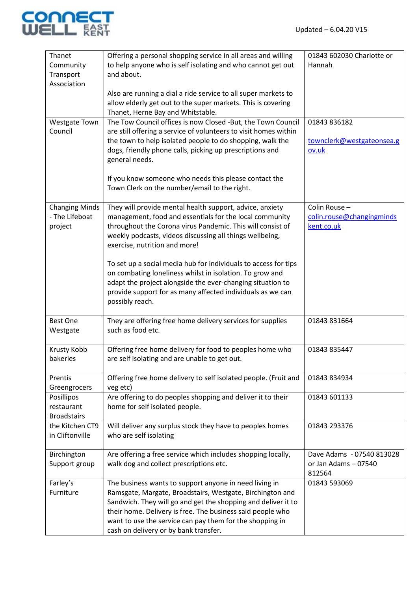

| Thanet                | Offering a personal shopping service in all areas and willing                   | 01843 602030 Charlotte or |
|-----------------------|---------------------------------------------------------------------------------|---------------------------|
| Community             | to help anyone who is self isolating and who cannot get out                     | Hannah                    |
| Transport             | and about.                                                                      |                           |
| Association           |                                                                                 |                           |
|                       | Also are running a dial a ride service to all super markets to                  |                           |
|                       | allow elderly get out to the super markets. This is covering                    |                           |
|                       | Thanet, Herne Bay and Whitstable.                                               |                           |
| <b>Westgate Town</b>  | The Tow Council offices is now Closed -But, the Town Council                    | 01843 836182              |
| Council               | are still offering a service of volunteers to visit homes within                |                           |
|                       | the town to help isolated people to do shopping, walk the                       | townclerk@westgateonsea.g |
|                       | dogs, friendly phone calls, picking up prescriptions and                        | ov.uk                     |
|                       | general needs.                                                                  |                           |
|                       |                                                                                 |                           |
|                       | If you know someone who needs this please contact the                           |                           |
|                       | Town Clerk on the number/email to the right.                                    |                           |
| <b>Changing Minds</b> | They will provide mental health support, advice, anxiety                        | Colin Rouse -             |
| - The Lifeboat        | management, food and essentials for the local community                         | colin.rouse@changingminds |
| project               | throughout the Corona virus Pandemic. This will consist of                      | kent.co.uk                |
|                       | weekly podcasts, videos discussing all things wellbeing,                        |                           |
|                       | exercise, nutrition and more!                                                   |                           |
|                       |                                                                                 |                           |
|                       | To set up a social media hub for individuals to access for tips                 |                           |
|                       | on combating loneliness whilst in isolation. To grow and                        |                           |
|                       | adapt the project alongside the ever-changing situation to                      |                           |
|                       | provide support for as many affected individuals as we can                      |                           |
|                       | possibly reach.                                                                 |                           |
| <b>Best One</b>       |                                                                                 | 01843 831664              |
| Westgate              | They are offering free home delivery services for supplies<br>such as food etc. |                           |
|                       |                                                                                 |                           |
| Krusty Kobb           | Offering free home delivery for food to peoples home who                        | 01843 835447              |
| bakeries              | are self isolating and are unable to get out.                                   |                           |
|                       |                                                                                 |                           |
| Prentis               | Offering free home delivery to self isolated people. (Fruit and                 | 01843 834934              |
| Greengrocers          | veg etc)                                                                        |                           |
| Posillipos            | Are offering to do peoples shopping and deliver it to their                     | 01843 601133              |
| restaurant            | home for self isolated people.                                                  |                           |
| <b>Broadstairs</b>    |                                                                                 |                           |
| the Kitchen CT9       | Will deliver any surplus stock they have to peoples homes                       | 01843 293376              |
| in Cliftonville       | who are self isolating                                                          |                           |
| Birchington           | Are offering a free service which includes shopping locally,                    | Dave Adams - 07540 813028 |
| Support group         | walk dog and collect prescriptions etc.                                         | or Jan Adams - 07540      |
|                       |                                                                                 | 812564                    |
| Farley's              | The business wants to support anyone in need living in                          | 01843 593069              |
| Furniture             | Ramsgate, Margate, Broadstairs, Westgate, Birchington and                       |                           |
|                       | Sandwich. They will go and get the shopping and deliver it to                   |                           |
|                       | their home. Delivery is free. The business said people who                      |                           |
|                       | want to use the service can pay them for the shopping in                        |                           |
|                       | cash on delivery or by bank transfer.                                           |                           |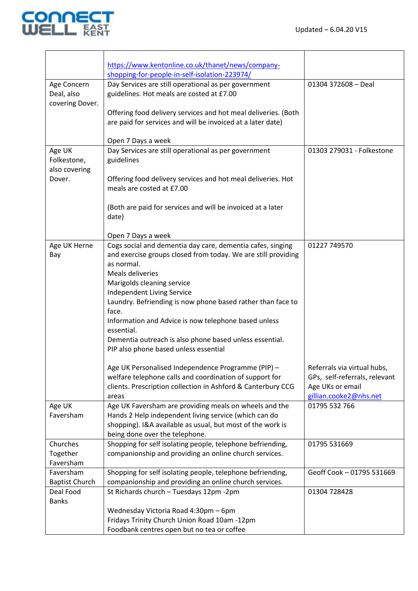

|                       | https://www.kentonline.co.uk/thanet/news/company-                                                                       |                                            |
|-----------------------|-------------------------------------------------------------------------------------------------------------------------|--------------------------------------------|
|                       | shopping-for-people-in-self-isolation-223974/                                                                           |                                            |
| Age Concern           | Day Services are still operational as per government                                                                    | 01304 372608 - Deal                        |
| Deal, also            | guidelines. Hot meals are costed at £7.00                                                                               |                                            |
| covering Dover.       |                                                                                                                         |                                            |
|                       | Offering food delivery services and hot meal deliveries. (Both                                                          |                                            |
|                       | are paid for services and will be invoiced at a later date)                                                             |                                            |
|                       |                                                                                                                         |                                            |
|                       | Open 7 Days a week                                                                                                      |                                            |
| Age UK                | Day Services are still operational as per government                                                                    | 01303 279031 - Folkestone                  |
| Folkestone,           | guidelines                                                                                                              |                                            |
| also covering         |                                                                                                                         |                                            |
| Dover.                | Offering food delivery services and hot meal deliveries. Hot                                                            |                                            |
|                       | meals are costed at £7.00                                                                                               |                                            |
|                       | (Both are paid for services and will be invoiced at a later                                                             |                                            |
|                       | date)                                                                                                                   |                                            |
|                       |                                                                                                                         |                                            |
|                       | Open 7 Days a week                                                                                                      |                                            |
| Age UK Herne          | Cogs social and dementia day care, dementia cafes, singing                                                              | 01227 749570                               |
| Bay                   | and exercise groups closed from today. We are still providing                                                           |                                            |
|                       | as normal.                                                                                                              |                                            |
|                       | Meals deliveries                                                                                                        |                                            |
|                       | Marigolds cleaning service                                                                                              |                                            |
|                       | Independent Living Service                                                                                              |                                            |
|                       | Laundry. Befriending is now phone based rather than face to                                                             |                                            |
|                       | face.                                                                                                                   |                                            |
|                       | Information and Advice is now telephone based unless                                                                    |                                            |
|                       | essential.                                                                                                              |                                            |
|                       | Dementia outreach is also phone based unless essential.                                                                 |                                            |
|                       | PIP also phone based unless essential                                                                                   |                                            |
|                       |                                                                                                                         |                                            |
|                       | Age UK Personalised Independence Programme (PIP) -                                                                      | Referrals via virtual hubs,                |
|                       | welfare telephone calls and coordination of support for<br>clients. Prescription collection in Ashford & Canterbury CCG | GPs, self-referrals, relevant              |
|                       |                                                                                                                         | Age UKs or email<br>gillian.cooke2@nhs.net |
| Age UK                | areas<br>Age UK Faversham are providing meals on wheels and the                                                         | 01795 532 766                              |
| Faversham             | Hands 2 Help independent living service (which can do                                                                   |                                            |
|                       | shopping). I&A available as usual, but most of the work is                                                              |                                            |
|                       | being done over the telephone.                                                                                          |                                            |
| Churches              | Shopping for self isolating people, telephone befriending,                                                              | 01795 531669                               |
| Together              | companionship and providing an online church services.                                                                  |                                            |
| Faversham             |                                                                                                                         |                                            |
| Faversham             | Shopping for self isolating people, telephone befriending,                                                              | Geoff Cook - 01795 531669                  |
| <b>Baptist Church</b> | companionship and providing an online church services.                                                                  |                                            |
| Deal Food             | St Richards church - Tuesdays 12pm -2pm                                                                                 | 01304 728428                               |
| <b>Banks</b>          |                                                                                                                         |                                            |
|                       | Wednesday Victoria Road 4:30pm - 6pm                                                                                    |                                            |
|                       | Fridays Trinity Church Union Road 10am -12pm                                                                            |                                            |
|                       | Foodbank centres open but no tea or coffee                                                                              |                                            |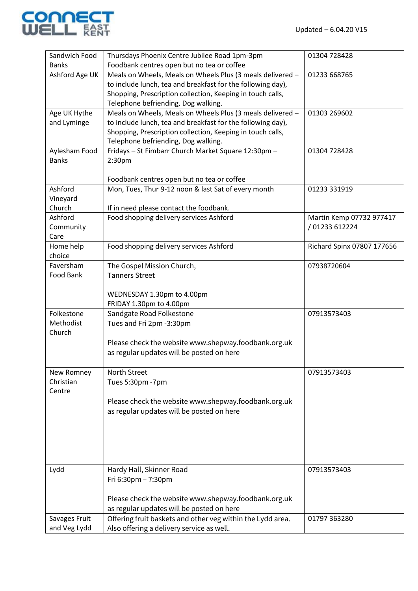

| Sandwich Food  | Thursdays Phoenix Centre Jubilee Road 1pm-3pm                                              | 01304 728428               |
|----------------|--------------------------------------------------------------------------------------------|----------------------------|
| <b>Banks</b>   | Foodbank centres open but no tea or coffee                                                 |                            |
| Ashford Age UK | Meals on Wheels, Meals on Wheels Plus (3 meals delivered -                                 | 01233 668765               |
|                | to include lunch, tea and breakfast for the following day),                                |                            |
|                | Shopping, Prescription collection, Keeping in touch calls,                                 |                            |
|                | Telephone befriending, Dog walking.                                                        |                            |
| Age UK Hythe   | Meals on Wheels, Meals on Wheels Plus (3 meals delivered -                                 | 01303 269602               |
| and Lyminge    | to include lunch, tea and breakfast for the following day),                                |                            |
|                | Shopping, Prescription collection, Keeping in touch calls,                                 |                            |
| Aylesham Food  | Telephone befriending, Dog walking.<br>Fridays - St Fimbarr Church Market Square 12:30pm - | 01304 728428               |
| <b>Banks</b>   | 2:30 <sub>pm</sub>                                                                         |                            |
|                |                                                                                            |                            |
|                | Foodbank centres open but no tea or coffee                                                 |                            |
| Ashford        | Mon, Tues, Thur 9-12 noon & last Sat of every month                                        | 01233 331919               |
| Vineyard       |                                                                                            |                            |
| Church         | If in need please contact the foodbank.                                                    |                            |
| Ashford        | Food shopping delivery services Ashford                                                    | Martin Kemp 07732 977417   |
| Community      |                                                                                            | / 01233 612224             |
| Care           |                                                                                            |                            |
| Home help      | Food shopping delivery services Ashford                                                    | Richard Spinx 07807 177656 |
| choice         |                                                                                            |                            |
| Faversham      | The Gospel Mission Church,                                                                 | 07938720604                |
| Food Bank      | <b>Tanners Street</b>                                                                      |                            |
|                |                                                                                            |                            |
|                | WEDNESDAY 1.30pm to 4.00pm                                                                 |                            |
|                | FRIDAY 1.30pm to 4.00pm                                                                    |                            |
| Folkestone     | Sandgate Road Folkestone                                                                   | 07913573403                |
| Methodist      | Tues and Fri 2pm -3:30pm                                                                   |                            |
| Church         |                                                                                            |                            |
|                | Please check the website www.shepway.foodbank.org.uk                                       |                            |
|                | as regular updates will be posted on here                                                  |                            |
|                |                                                                                            |                            |
| New Romney     | North Street                                                                               | 07913573403                |
| Christian      | Tues 5:30pm -7pm                                                                           |                            |
| Centre         |                                                                                            |                            |
|                | Please check the website www.shepway.foodbank.org.uk                                       |                            |
|                | as regular updates will be posted on here                                                  |                            |
|                |                                                                                            |                            |
|                |                                                                                            |                            |
|                |                                                                                            |                            |
|                |                                                                                            |                            |
| Lydd           | Hardy Hall, Skinner Road                                                                   | 07913573403                |
|                | Fri 6:30pm - 7:30pm                                                                        |                            |
|                |                                                                                            |                            |
|                | Please check the website www.shepway.foodbank.org.uk                                       |                            |
|                | as regular updates will be posted on here                                                  |                            |
| Savages Fruit  | Offering fruit baskets and other veg within the Lydd area.                                 | 01797 363280               |
| and Veg Lydd   | Also offering a delivery service as well.                                                  |                            |
|                |                                                                                            |                            |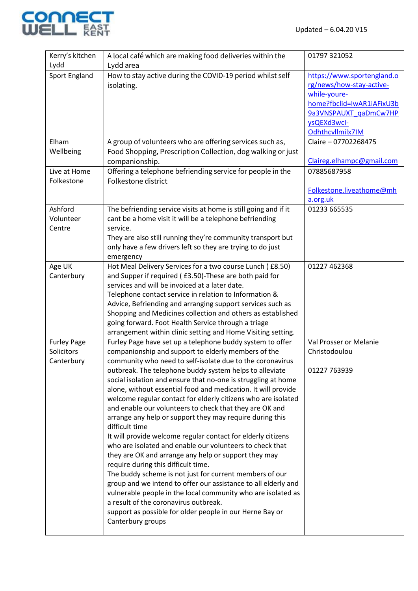

| Kerry's kitchen<br>Lydd                        | A local café which are making food deliveries within the<br>Lydd area                                                                                                                                                                                                                                                                                                                                                                                                                                                                                                                                                                                                                                                                                                                                                                                                                                                                                                                                                                                                                                                                  | 01797 321052                                                                                                                                                    |
|------------------------------------------------|----------------------------------------------------------------------------------------------------------------------------------------------------------------------------------------------------------------------------------------------------------------------------------------------------------------------------------------------------------------------------------------------------------------------------------------------------------------------------------------------------------------------------------------------------------------------------------------------------------------------------------------------------------------------------------------------------------------------------------------------------------------------------------------------------------------------------------------------------------------------------------------------------------------------------------------------------------------------------------------------------------------------------------------------------------------------------------------------------------------------------------------|-----------------------------------------------------------------------------------------------------------------------------------------------------------------|
| <b>Sport England</b>                           | How to stay active during the COVID-19 period whilst self<br>isolating.                                                                                                                                                                                                                                                                                                                                                                                                                                                                                                                                                                                                                                                                                                                                                                                                                                                                                                                                                                                                                                                                | https://www.sportengland.o<br>rg/news/how-stay-active-<br>while-youre-<br>home?fbclid=IwAR1iAFixU3b<br>9a3VNSPAUXT gaDmCw7HP<br>ysQEXd3wcl-<br>Odhthcvllmilx7IM |
| Elham<br>Wellbeing                             | A group of volunteers who are offering services such as,<br>Food Shopping, Prescription Collection, dog walking or just<br>companionship.                                                                                                                                                                                                                                                                                                                                                                                                                                                                                                                                                                                                                                                                                                                                                                                                                                                                                                                                                                                              | Claire - 07702268475<br>Claireg.elhampc@gmail.com                                                                                                               |
| Live at Home<br>Folkestone                     | Offering a telephone befriending service for people in the<br>Folkestone district                                                                                                                                                                                                                                                                                                                                                                                                                                                                                                                                                                                                                                                                                                                                                                                                                                                                                                                                                                                                                                                      | 07885687958<br>Folkestone.liveathome@mh                                                                                                                         |
|                                                |                                                                                                                                                                                                                                                                                                                                                                                                                                                                                                                                                                                                                                                                                                                                                                                                                                                                                                                                                                                                                                                                                                                                        | a.org.uk                                                                                                                                                        |
| Ashford<br>Volunteer<br>Centre                 | The befriending service visits at home is still going and if it<br>cant be a home visit it will be a telephone befriending<br>service.<br>They are also still running they're community transport but<br>only have a few drivers left so they are trying to do just<br>emergency                                                                                                                                                                                                                                                                                                                                                                                                                                                                                                                                                                                                                                                                                                                                                                                                                                                       | 01233 665535                                                                                                                                                    |
| Age UK<br>Canterbury                           | Hot Meal Delivery Services for a two course Lunch (£8.50)<br>and Supper if required (£3.50)-These are both paid for<br>services and will be invoiced at a later date.<br>Telephone contact service in relation to Information &<br>Advice, Befriending and arranging support services such as<br>Shopping and Medicines collection and others as established<br>going forward. Foot Health Service through a triage<br>arrangement within clinic setting and Home Visiting setting.                                                                                                                                                                                                                                                                                                                                                                                                                                                                                                                                                                                                                                                    | 01227 462368                                                                                                                                                    |
| <b>Furley Page</b><br>Solicitors<br>Canterbury | Furley Page have set up a telephone buddy system to offer<br>companionship and support to elderly members of the<br>community who need to self-isolate due to the coronavirus<br>outbreak. The telephone buddy system helps to alleviate<br>social isolation and ensure that no-one is struggling at home<br>alone, without essential food and medication. It will provide<br>welcome regular contact for elderly citizens who are isolated<br>and enable our volunteers to check that they are OK and<br>arrange any help or support they may require during this<br>difficult time<br>It will provide welcome regular contact for elderly citizens<br>who are isolated and enable our volunteers to check that<br>they are OK and arrange any help or support they may<br>require during this difficult time.<br>The buddy scheme is not just for current members of our<br>group and we intend to offer our assistance to all elderly and<br>vulnerable people in the local community who are isolated as<br>a result of the coronavirus outbreak.<br>support as possible for older people in our Herne Bay or<br>Canterbury groups | Val Prosser or Melanie<br>Christodoulou<br>01227 763939                                                                                                         |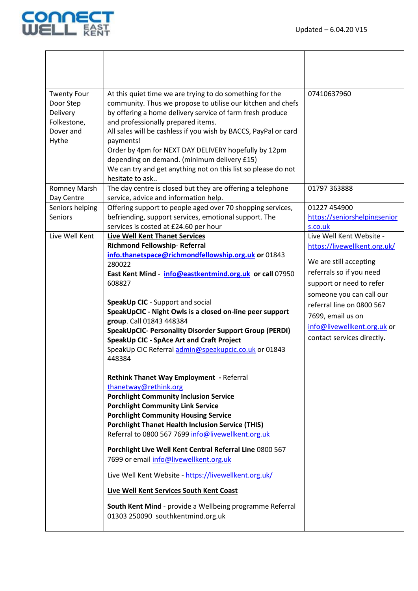

| <b>Twenty Four</b><br>Door Step<br>Delivery<br>Folkestone,<br>Dover and<br>Hythe | At this quiet time we are trying to do something for the<br>community. Thus we propose to utilise our kitchen and chefs<br>by offering a home delivery service of farm fresh produce<br>and professionally prepared items.<br>All sales will be cashless if you wish by BACCS, PayPal or card<br>payments!<br>Order by 4pm for NEXT DAY DELIVERY hopefully by 12pm<br>depending on demand. (minimum delivery £15)<br>We can try and get anything not on this list so please do not<br>hesitate to ask                                                                                                                                                                                                                                                                                                                                                                                                                                                                                                                                                                                                                                                                         | 07410637960                                                                                                                                                                                                                                                                           |
|----------------------------------------------------------------------------------|-------------------------------------------------------------------------------------------------------------------------------------------------------------------------------------------------------------------------------------------------------------------------------------------------------------------------------------------------------------------------------------------------------------------------------------------------------------------------------------------------------------------------------------------------------------------------------------------------------------------------------------------------------------------------------------------------------------------------------------------------------------------------------------------------------------------------------------------------------------------------------------------------------------------------------------------------------------------------------------------------------------------------------------------------------------------------------------------------------------------------------------------------------------------------------|---------------------------------------------------------------------------------------------------------------------------------------------------------------------------------------------------------------------------------------------------------------------------------------|
| <b>Romney Marsh</b><br>Day Centre                                                | The day centre is closed but they are offering a telephone<br>service, advice and information help.                                                                                                                                                                                                                                                                                                                                                                                                                                                                                                                                                                                                                                                                                                                                                                                                                                                                                                                                                                                                                                                                           | 01797 363888                                                                                                                                                                                                                                                                          |
| Seniors helping<br><b>Seniors</b>                                                | Offering support to people aged over 70 shopping services,<br>befriending, support services, emotional support. The<br>services is costed at £24.60 per hour                                                                                                                                                                                                                                                                                                                                                                                                                                                                                                                                                                                                                                                                                                                                                                                                                                                                                                                                                                                                                  | 01227 454900<br>https://seniorshelpingsenior<br>s.co.uk                                                                                                                                                                                                                               |
| Live Well Kent                                                                   | <b>Live Well Kent Thanet Services</b><br>Richmond Fellowship-Referral<br>info.thanetspace@richmondfellowship.org.uk or 01843<br>280022<br>East Kent Mind - info@eastkentmind.org.uk or call 07950<br>608827<br>SpeakUp CIC - Support and social<br>SpeakUpCIC - Night Owls is a closed on-line peer support<br>group. Call 01843 448384<br><b>SpeakUpCIC- Personality Disorder Support Group (PERDI)</b><br>SpeakUp CIC - SpAce Art and Craft Project<br>SpeakUp CIC Referral admin@speakupcic.co.uk or 01843<br>448384<br><b>Rethink Thanet Way Employment - Referral</b><br>thanetway@rethink.org<br><b>Porchlight Community Inclusion Service</b><br><b>Porchlight Community Link Service</b><br><b>Porchlight Community Housing Service</b><br><b>Porchlight Thanet Health Inclusion Service (THIS)</b><br>Referral to 0800 567 7699 info@livewellkent.org.uk<br>Porchlight Live Well Kent Central Referral Line 0800 567<br>7699 or email info@livewellkent.org.uk<br>Live Well Kent Website - https://livewellkent.org.uk/<br>Live Well Kent Services South Kent Coast<br>South Kent Mind - provide a Wellbeing programme Referral<br>01303 250090 southkentmind.org.uk | Live Well Kent Website -<br>https://livewellkent.org.uk/<br>We are still accepting<br>referrals so if you need<br>support or need to refer<br>someone you can call our<br>referral line on 0800 567<br>7699, email us on<br>info@livewellkent.org.uk or<br>contact services directly. |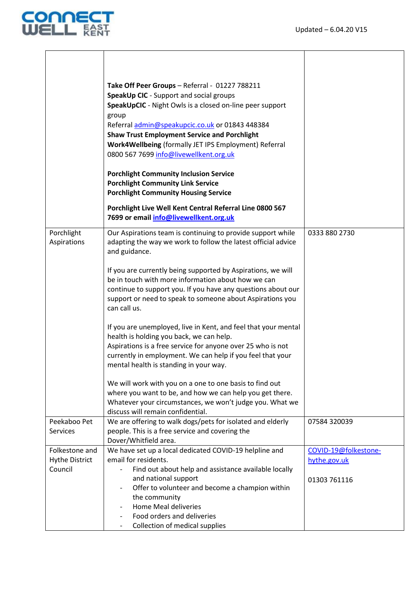

|                                                    | Take Off Peer Groups - Referral - 01227 788211<br>SpeakUp CIC - Support and social groups<br>SpeakUpCIC - Night Owls is a closed on-line peer support<br>group<br>Referral admin@speakupcic.co.uk or 01843 448384<br><b>Shaw Trust Employment Service and Porchlight</b><br>Work4Wellbeing (formally JET IPS Employment) Referral<br>0800 567 7699 info@livewellkent.org.uk |                                      |
|----------------------------------------------------|-----------------------------------------------------------------------------------------------------------------------------------------------------------------------------------------------------------------------------------------------------------------------------------------------------------------------------------------------------------------------------|--------------------------------------|
|                                                    | <b>Porchlight Community Inclusion Service</b><br><b>Porchlight Community Link Service</b><br><b>Porchlight Community Housing Service</b>                                                                                                                                                                                                                                    |                                      |
|                                                    | Porchlight Live Well Kent Central Referral Line 0800 567<br>7699 or email info@livewellkent.org.uk                                                                                                                                                                                                                                                                          |                                      |
| Porchlight<br>Aspirations                          | Our Aspirations team is continuing to provide support while<br>adapting the way we work to follow the latest official advice<br>and guidance.                                                                                                                                                                                                                               | 0333 880 2730                        |
|                                                    | If you are currently being supported by Aspirations, we will<br>be in touch with more information about how we can<br>continue to support you. If you have any questions about our<br>support or need to speak to someone about Aspirations you<br>can call us.                                                                                                             |                                      |
|                                                    | If you are unemployed, live in Kent, and feel that your mental<br>health is holding you back, we can help.<br>Aspirations is a free service for anyone over 25 who is not<br>currently in employment. We can help if you feel that your<br>mental health is standing in your way.                                                                                           |                                      |
|                                                    | We will work with you on a one to one basis to find out<br>where you want to be, and how we can help you get there.<br>Whatever your circumstances, we won't judge you. What we<br>discuss will remain confidential.                                                                                                                                                        |                                      |
| Peekaboo Pet<br><b>Services</b>                    | We are offering to walk dogs/pets for isolated and elderly<br>people. This is a free service and covering the<br>Dover/Whitfield area.                                                                                                                                                                                                                                      | 07584 320039                         |
| Folkestone and<br><b>Hythe District</b><br>Council | We have set up a local dedicated COVID-19 helpline and<br>email for residents.<br>Find out about help and assistance available locally                                                                                                                                                                                                                                      | COVID-19@folkestone-<br>hythe.gov.uk |
|                                                    | and national support<br>Offer to volunteer and become a champion within<br>the community<br><b>Home Meal deliveries</b><br>Food orders and deliveries<br>Collection of medical supplies                                                                                                                                                                                     | 01303 761116                         |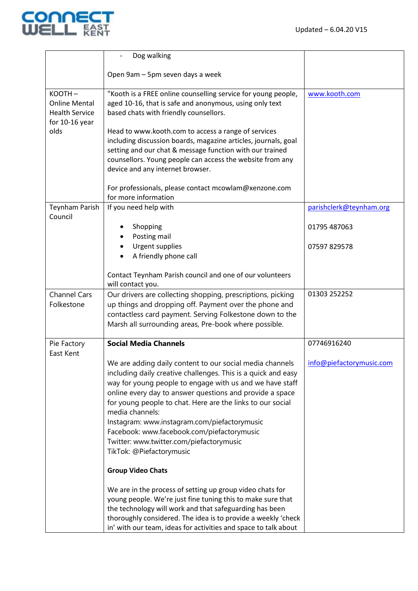

|                                                                                   | Dog walking                                                                                                                                                                                                                                                                                                                                                                                                                                                                                              |                          |
|-----------------------------------------------------------------------------------|----------------------------------------------------------------------------------------------------------------------------------------------------------------------------------------------------------------------------------------------------------------------------------------------------------------------------------------------------------------------------------------------------------------------------------------------------------------------------------------------------------|--------------------------|
|                                                                                   | Open 9am - 5pm seven days a week                                                                                                                                                                                                                                                                                                                                                                                                                                                                         |                          |
| KOOTH-<br><b>Online Mental</b><br><b>Health Service</b><br>for 10-16 year<br>olds | "Kooth is a FREE online counselling service for young people,<br>aged 10-16, that is safe and anonymous, using only text<br>based chats with friendly counsellors.<br>Head to www.kooth.com to access a range of services                                                                                                                                                                                                                                                                                | www.kooth.com            |
|                                                                                   | including discussion boards, magazine articles, journals, goal<br>setting and our chat & message function with our trained<br>counsellors. Young people can access the website from any<br>device and any internet browser.                                                                                                                                                                                                                                                                              |                          |
|                                                                                   | For professionals, please contact mcowlam@xenzone.com<br>for more information                                                                                                                                                                                                                                                                                                                                                                                                                            |                          |
| Teynham Parish<br>Council                                                         | If you need help with                                                                                                                                                                                                                                                                                                                                                                                                                                                                                    | parishclerk@teynham.org  |
|                                                                                   | Shopping<br>Posting mail                                                                                                                                                                                                                                                                                                                                                                                                                                                                                 | 01795 487063             |
|                                                                                   | Urgent supplies<br>A friendly phone call                                                                                                                                                                                                                                                                                                                                                                                                                                                                 | 07597 829578             |
|                                                                                   | Contact Teynham Parish council and one of our volunteers<br>will contact you.                                                                                                                                                                                                                                                                                                                                                                                                                            |                          |
| <b>Channel Cars</b><br>Folkestone                                                 | Our drivers are collecting shopping, prescriptions, picking<br>up things and dropping off. Payment over the phone and<br>contactless card payment. Serving Folkestone down to the<br>Marsh all surrounding areas, Pre-book where possible.                                                                                                                                                                                                                                                               | 01303 252252             |
| Pie Factory<br>East Kent                                                          | <b>Social Media Channels</b>                                                                                                                                                                                                                                                                                                                                                                                                                                                                             | 07746916240              |
|                                                                                   | We are adding daily content to our social media channels<br>including daily creative challenges. This is a quick and easy<br>way for young people to engage with us and we have staff<br>online every day to answer questions and provide a space<br>for young people to chat. Here are the links to our social<br>media channels:<br>Instagram: www.instagram.com/piefactorymusic<br>Facebook: www.facebook.com/piefactorymusic<br>Twitter: www.twitter.com/piefactorymusic<br>TikTok: @Piefactorymusic | info@piefactorymusic.com |
|                                                                                   | <b>Group Video Chats</b>                                                                                                                                                                                                                                                                                                                                                                                                                                                                                 |                          |
|                                                                                   | We are in the process of setting up group video chats for<br>young people. We're just fine tuning this to make sure that<br>the technology will work and that safeguarding has been<br>thoroughly considered. The idea is to provide a weekly 'check<br>in' with our team, ideas for activities and space to talk about                                                                                                                                                                                  |                          |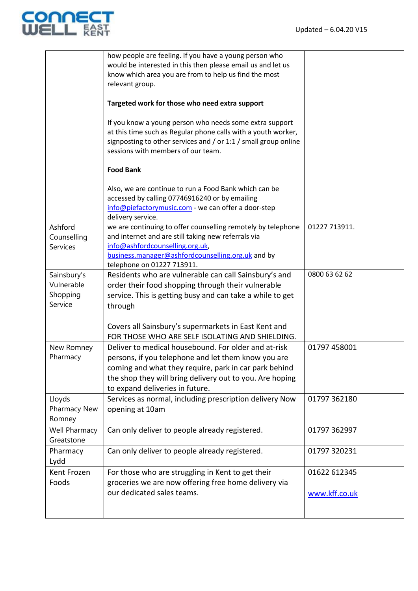

|                                                  | how people are feeling. If you have a young person who<br>would be interested in this then please email us and let us<br>know which area you are from to help us find the most<br>relevant group.                                                                   |                               |
|--------------------------------------------------|---------------------------------------------------------------------------------------------------------------------------------------------------------------------------------------------------------------------------------------------------------------------|-------------------------------|
|                                                  | Targeted work for those who need extra support                                                                                                                                                                                                                      |                               |
|                                                  | If you know a young person who needs some extra support<br>at this time such as Regular phone calls with a youth worker,<br>signposting to other services and / or 1:1 / small group online<br>sessions with members of our team.                                   |                               |
|                                                  | <b>Food Bank</b>                                                                                                                                                                                                                                                    |                               |
|                                                  | Also, we are continue to run a Food Bank which can be<br>accessed by calling 07746916240 or by emailing<br>info@piefactorymusic.com - we can offer a door-step<br>delivery service.                                                                                 |                               |
| Ashford<br>Counselling<br><b>Services</b>        | we are continuing to offer counselling remotely by telephone<br>and internet and are still taking new referrals via<br>info@ashfordcounselling.org.uk,<br>business.manager@ashfordcounselling.org.uk and by<br>telephone on 01227 713911.                           | 01227 713911.                 |
| Sainsbury's<br>Vulnerable<br>Shopping<br>Service | Residents who are vulnerable can call Sainsbury's and<br>order their food shopping through their vulnerable<br>service. This is getting busy and can take a while to get<br>through<br>Covers all Sainsbury's supermarkets in East Kent and                         | 0800 63 62 62                 |
|                                                  | FOR THOSE WHO ARE SELF ISOLATING AND SHIELDING.                                                                                                                                                                                                                     |                               |
| New Romney<br>Pharmacy                           | Deliver to medical housebound. For older and at-risk<br>persons, if you telephone and let them know you are<br>coming and what they require, park in car park behind<br>the shop they will bring delivery out to you. Are hoping<br>to expand deliveries in future. | 01797 458001                  |
| Lloyds<br>Pharmacy New<br>Romney                 | Services as normal, including prescription delivery Now<br>opening at 10am                                                                                                                                                                                          | 01797 362180                  |
| Well Pharmacy<br>Greatstone                      | Can only deliver to people already registered.                                                                                                                                                                                                                      | 01797 362997                  |
| Pharmacy<br>Lydd                                 | Can only deliver to people already registered.                                                                                                                                                                                                                      | 01797 320231                  |
| Kent Frozen<br>Foods                             | For those who are struggling in Kent to get their<br>groceries we are now offering free home delivery via<br>our dedicated sales teams.                                                                                                                             | 01622 612345<br>www.kff.co.uk |
|                                                  |                                                                                                                                                                                                                                                                     |                               |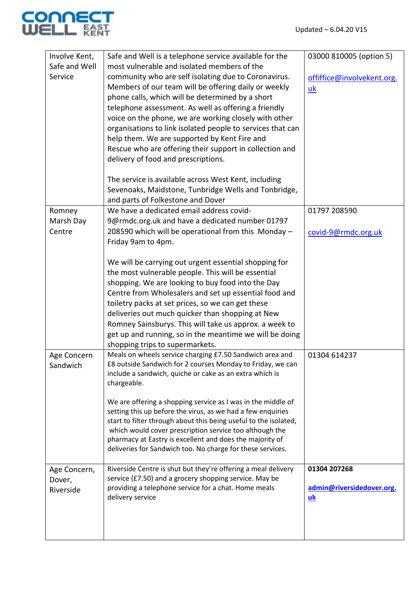

| Involve Kent, | Safe and Well is a telephone service available for the                                                                          | 03000 810005 (option 5)         |
|---------------|---------------------------------------------------------------------------------------------------------------------------------|---------------------------------|
| Safe and Well | most vulnerable and isolated members of the                                                                                     |                                 |
| Service       | community who are self isolating due to Coronavirus.                                                                            | offiffice@involvekent.org.      |
|               | Members of our team will be offering daily or weekly                                                                            | uk                              |
|               | phone calls, which will be determined by a short                                                                                |                                 |
|               | telephone assessment. As well as offering a friendly                                                                            |                                 |
|               | voice on the phone, we are working closely with other                                                                           |                                 |
|               | organisations to link isolated people to services that can                                                                      |                                 |
|               | help them. We are supported by Kent Fire and                                                                                    |                                 |
|               | Rescue who are offering their support in collection and                                                                         |                                 |
|               |                                                                                                                                 |                                 |
|               | delivery of food and prescriptions.                                                                                             |                                 |
|               | The service is available across West Kent, including                                                                            |                                 |
|               | Sevenoaks, Maidstone, Tunbridge Wells and Tonbridge,                                                                            |                                 |
|               | and parts of Folkestone and Dover                                                                                               |                                 |
| Romney        | We have a dedicated email address covid-                                                                                        | 01797 208590                    |
| Marsh Day     | 9@rmdc.org.uk and have a dedicated number 01797                                                                                 |                                 |
| Centre        | 208590 which will be operational from this Monday -                                                                             |                                 |
|               | Friday 9am to 4pm.                                                                                                              | covid-9@rmdc.org.uk             |
|               |                                                                                                                                 |                                 |
|               | We will be carrying out urgent essential shopping for                                                                           |                                 |
|               | the most vulnerable people. This will be essential                                                                              |                                 |
|               | shopping. We are looking to buy food into the Day                                                                               |                                 |
|               | Centre from Wholesalers and set up essential food and                                                                           |                                 |
|               | toiletry packs at set prices, so we can get these                                                                               |                                 |
|               | deliveries out much quicker than shopping at New                                                                                |                                 |
|               | Romney Sainsburys. This will take us approx. a week to                                                                          |                                 |
|               | get up and running, so in the meantime we will be doing                                                                         |                                 |
|               | shopping trips to supermarkets.                                                                                                 |                                 |
| Age Concern   | Meals on wheels service charging £7.50 Sandwich area and                                                                        | 01304 614237                    |
| Sandwich      | £8 outside Sandwich for 2 courses Monday to Friday, we can                                                                      |                                 |
|               | include a sandwich, quiche or cake as an extra which is                                                                         |                                 |
|               | chargeable.                                                                                                                     |                                 |
|               |                                                                                                                                 |                                 |
|               | We are offering a shopping service as I was in the middle of                                                                    |                                 |
|               | setting this up before the virus, as we had a few enquiries<br>start to filter through about this being useful to the isolated, |                                 |
|               | which would cover prescription service too although the                                                                         |                                 |
|               | pharmacy at Eastry is excellent and does the majority of                                                                        |                                 |
|               | deliveries for Sandwich too. No charge for these services.                                                                      |                                 |
|               |                                                                                                                                 |                                 |
| Age Concern,  | Riverside Centre is shut but they're offering a meal delivery                                                                   | 01304 207268                    |
| Dover,        | service (£7.50) and a grocery shopping service. May be                                                                          |                                 |
| Riverside     | providing a telephone service for a chat. Home meals<br>delivery service                                                        | admin@riversidedover.org.<br>uk |
|               |                                                                                                                                 |                                 |
|               |                                                                                                                                 |                                 |
|               |                                                                                                                                 |                                 |
|               |                                                                                                                                 |                                 |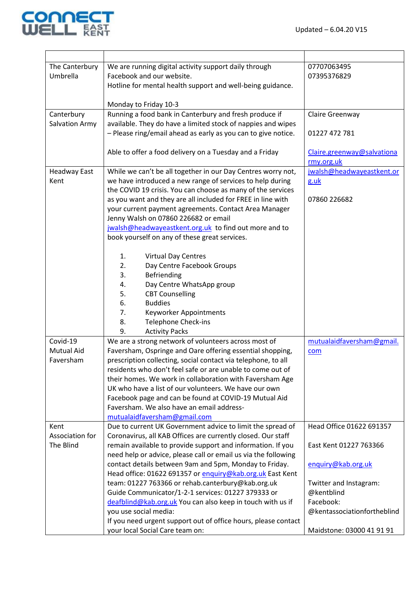

| The Canterbury        | We are running digital activity support daily through                                                               | 07707063495                 |
|-----------------------|---------------------------------------------------------------------------------------------------------------------|-----------------------------|
| Umbrella              | Facebook and our website.                                                                                           | 07395376829                 |
|                       | Hotline for mental health support and well-being guidance.                                                          |                             |
|                       |                                                                                                                     |                             |
| Canterbury            | Monday to Friday 10-3<br>Running a food bank in Canterbury and fresh produce if                                     | Claire Greenway             |
| <b>Salvation Army</b> | available. They do have a limited stock of nappies and wipes                                                        |                             |
|                       | - Please ring/email ahead as early as you can to give notice.                                                       | 01227 472 781               |
|                       |                                                                                                                     |                             |
|                       | Able to offer a food delivery on a Tuesday and a Friday                                                             | Claire.greenway@salvationa  |
|                       |                                                                                                                     | rmy.org.uk                  |
| <b>Headway East</b>   | While we can't be all together in our Day Centres worry not,                                                        | jwalsh@headwayeastkent.or   |
| Kent                  | we have introduced a new range of services to help during                                                           | g.uk                        |
|                       | the COVID 19 crisis. You can choose as many of the services                                                         |                             |
|                       | as you want and they are all included for FREE in line with                                                         | 07860 226682                |
|                       | your current payment agreements. Contact Area Manager                                                               |                             |
|                       | Jenny Walsh on 07860 226682 or email                                                                                |                             |
|                       | jwalsh@headwayeastkent.org.uk to find out more and to                                                               |                             |
|                       | book yourself on any of these great services.                                                                       |                             |
|                       |                                                                                                                     |                             |
|                       | <b>Virtual Day Centres</b><br>1.                                                                                    |                             |
|                       | 2.<br>Day Centre Facebook Groups                                                                                    |                             |
|                       | Befriending<br>3.                                                                                                   |                             |
|                       | Day Centre WhatsApp group<br>4.                                                                                     |                             |
|                       | <b>CBT Counselling</b><br>5.                                                                                        |                             |
|                       | 6.<br><b>Buddies</b>                                                                                                |                             |
|                       | 7.<br>Keyworker Appointments                                                                                        |                             |
|                       | Telephone Check-ins<br>8.                                                                                           |                             |
|                       | 9.<br><b>Activity Packs</b>                                                                                         |                             |
| Covid-19              | We are a strong network of volunteers across most of                                                                | mutualaidfaversham@gmail.   |
| <b>Mutual Aid</b>     | Faversham, Ospringe and Oare offering essential shopping,                                                           | com                         |
| Faversham             | prescription collecting, social contact via telephone, to all                                                       |                             |
|                       | residents who don't feel safe or are unable to come out of                                                          |                             |
|                       | their homes. We work in collaboration with Faversham Age                                                            |                             |
|                       | UK who have a list of our volunteers. We have our own                                                               |                             |
|                       | Facebook page and can be found at COVID-19 Mutual Aid                                                               |                             |
|                       | Faversham. We also have an email address-                                                                           |                             |
|                       | mutualaidfaversham@gmail.com                                                                                        |                             |
| Kent                  | Due to current UK Government advice to limit the spread of                                                          | Head Office 01622 691357    |
| Association for       | Coronavirus, all KAB Offices are currently closed. Our staff                                                        |                             |
| The Blind             | remain available to provide support and information. If you                                                         | East Kent 01227 763366      |
|                       | need help or advice, please call or email us via the following                                                      |                             |
|                       | contact details between 9am and 5pm, Monday to Friday.<br>Head office: 01622 691357 or enquiry@kab.org.uk East Kent | enquiry@kab.org.uk          |
|                       | team: 01227 763366 or rehab.canterbury@kab.org.uk                                                                   | Twitter and Instagram:      |
|                       | Guide Communicator/1-2-1 services: 01227 379333 or                                                                  | @kentblind                  |
|                       | deafblind@kab.org.uk You can also keep in touch with us if                                                          | Facebook:                   |
|                       | you use social media:                                                                                               | @kentassociationfortheblind |
|                       | If you need urgent support out of office hours, please contact                                                      |                             |
|                       | your local Social Care team on:                                                                                     | Maidstone: 03000 41 91 91   |
|                       |                                                                                                                     |                             |